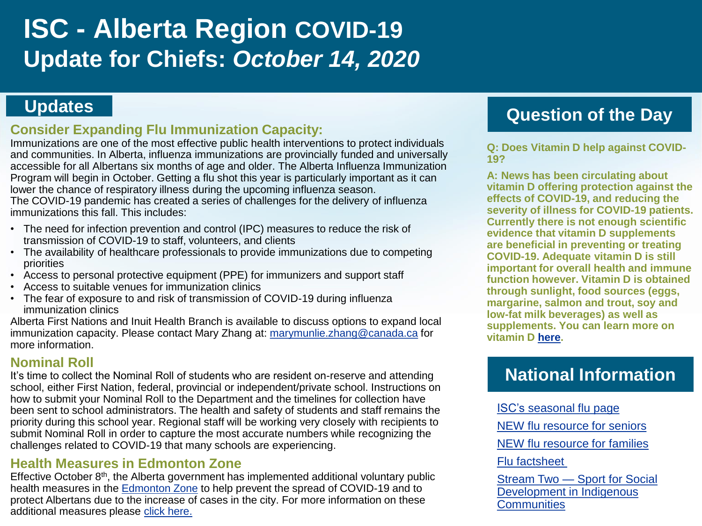# **ISC - Alberta Region COVID-19 Update for Chiefs:** *October 14, 2020*

### **Consider Expanding Flu Immunization Capacity:**

Immunizations are one of the most effective public health interventions to protect individuals and communities. In Alberta, influenza immunizations are provincially funded and universally accessible for all Albertans six months of age and older. The Alberta Influenza Immunization Program will begin in October. Getting a flu shot this year is particularly important as it can lower the chance of respiratory illness during the upcoming influenza season.

The COVID-19 pandemic has created a series of challenges for the delivery of influenza immunizations this fall. This includes:

- The need for infection prevention and control (IPC) measures to reduce the risk of transmission of COVID-19 to staff, volunteers, and clients
- The availability of healthcare professionals to provide immunizations due to competing priorities
- Access to personal protective equipment (PPE) for immunizers and support staff
- Access to suitable venues for immunization clinics
- The fear of exposure to and risk of transmission of COVID-19 during influenza immunization clinics

Alberta First Nations and Inuit Health Branch is available to discuss options to expand local immunization capacity. Please contact Mary Zhang at: [marymunlie.zhang@canada.ca](mailto:marymunlie.zhang@canada.ca) for more information.

#### **Nominal Roll**

It's time to collect the Nominal Roll of students who are resident on-reserve and attending school, either First Nation, federal, provincial or independent/private school. Instructions on how to submit your Nominal Roll to the Department and the timelines for collection have been sent to school administrators. The health and safety of students and staff remains the priority during this school year. Regional staff will be working very closely with recipients to submit Nominal Roll in order to capture the most accurate numbers while recognizing the challenges related to COVID-19 that many schools are experiencing.

#### **Health Measures in Edmonton Zone**

Effective October  $8<sup>th</sup>$ , the Alberta government has implemented additional voluntary public health measures in the [Edmonton Zone](https://www.alberta.ca/covid19-edmonton-zone-public-health-measures.aspx#communities) to help prevent the spread of COVID-19 and to protect Albertans due to the increase of cases in the city. For more information on these additional measures please [click here.](https://www.alberta.ca/covid19-edmonton-zone-public-health-measures.aspx)

# **Updates Question of the Day**

**Q: Does Vitamin D help against COVID-19?** 

**A: News has been circulating about vitamin D offering protection against the effects of COVID-19, and reducing the severity of illness for COVID-19 patients. Currently there is not enough scientific evidence that vitamin D supplements are beneficial in preventing or treating COVID-19. Adequate vitamin D is still important for overall health and immune function however. Vitamin D is obtained through sunlight, food sources (eggs, margarine, salmon and trout, soy and low-fat milk beverages) as well as supplements. You can learn more on vitamin D [here.](https://www.canada.ca/en/health-canada/services/nutrients/vitamin-d.html)** 

# **National Information**

[ISC's seasonal flu page](https://www.sac-isc.gc.ca/eng/1570037443226/1570037485313) [NEW flu resource for seniors](https://www.sac-isc.gc.ca/DAM/DAM-ISC-SAC/DAM-HLTH/STAGING/texte-text/diseases-season_flu-adults_1570046984189_eng.pdf) NEW [flu resource for families](https://www.sac-isc.gc.ca/DAM/DAM-ISC-SAC/DAM-HLTH/STAGING/texte-text/diseases-season_flu-child_1570046970273_eng.pdf) [Flu factsheet](https://www.sac-isc.gc.ca/DAM/DAM-ISC-SAC/DAM-HLTH/STAGING/texte-text/flu_shot_factsheet_1573230709853_eng.pdf)  Stream Two — Sport for Social

[Development in Indigenous](https://www.canada.ca/en/canadian-heritage/services/funding/sport-support/social-development-indigenous-communities/stream-two.html)  **Communities**